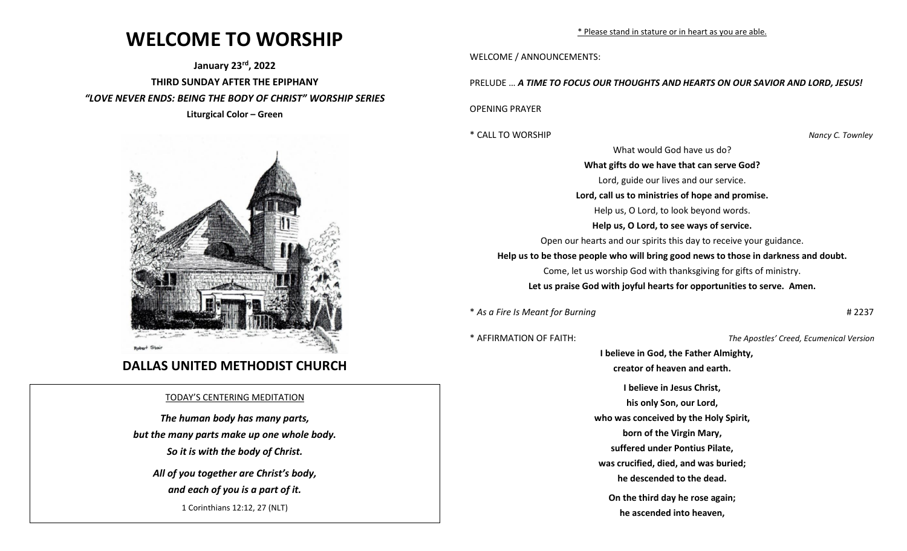## **WELCOME TO WORSHIP**

**January 23rd , 2022 THIRD SUNDAY AFTER THE EPIPHANY** *"LOVE NEVER ENDS: BEING THE BODY OF CHRIST" WORSHIP SERIES* **Liturgical Color – Green**



## **DALLAS UNITED METHODIST CHURCH**

## TODAY'S CENTERING MEDITATION

*The human body has many parts, but the many parts make up one whole body. So it is with the body of Christ.*

*All of you together are Christ's body, and each of you is a part of it.* 1 Corinthians 12:12, 27 (NLT)

\* Please stand in stature or in heart as you are able.

WELCOME / ANNOUNCEMENTS:

PRELUDE … *A TIME TO FOCUS OUR THOUGHTS AND HEARTS ON OUR SAVIOR AND LORD, JESUS!*

OPENING PRAYER

\* CALL TO WORSHIP *Nancy C. Townley*

What would God have us do?

**What gifts do we have that can serve God?** Lord, guide our lives and our service. **Lord, call us to ministries of hope and promise.** Help us, O Lord, to look beyond words. **Help us, O Lord, to see ways of service.** Open our hearts and our spirits this day to receive your guidance. **Help us to be those people who will bring good news to those in darkness and doubt.** Come, let us worship God with thanksgiving for gifts of ministry. **Let us praise God with joyful hearts for opportunities to serve. Amen.**

\* *As a Fire Is Meant for Burning* # 2237

\* AFFIRMATION OF FAITH: *The Apostles' Creed, Ecumenical Version*

 **I believe in God, the Father Almighty, creator of heaven and earth. I believe in Jesus Christ, his only Son, our Lord, who was conceived by the Holy Spirit, born of the Virgin Mary, suffered under Pontius Pilate, was crucified, died, and was buried; he descended to the dead. On the third day he rose again; he ascended into heaven,**